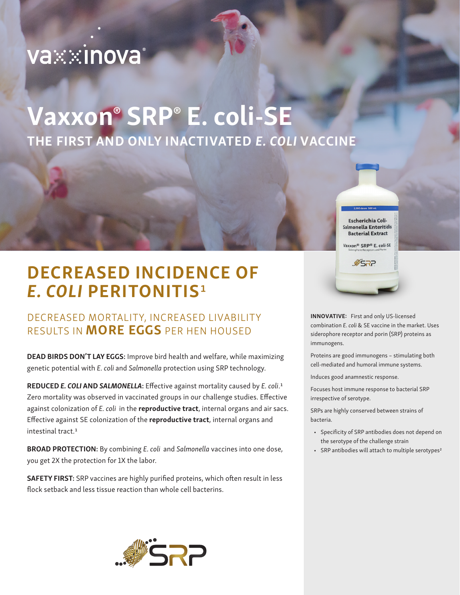# va⊗∷inova°

# Vaxxon® SRP® E. coli-SE THE FIRST AND ONLY INACTIVATED *E. COLI* VACCINE

**Escherichia Coli-**Salmonella Enteritidis **Bacterial Extract** 

Vaxxon<sup>®</sup> SRP® E. coli-SE

SRP.

DECREASED INCIDENCE OF *E. COLI* PERITONITIS1

### DECREASED MORTALITY, INCREASED LIVABILITY RESULTS IN **MORE EGGS** PER HEN HOUSED

DEAD BIRDS DON'T LAY EGGS: Improve bird health and welfare, while maximizing genetic potential with *E. coli* and *Salmonella* protection using SRP technology.

REDUCED *E. COLI* AND *SALMONELLA*: Effective against mortality caused by *E. coli*.1 Zero mortality was observed in vaccinated groups in our challenge studies. Effective against colonization of *E. coli* in the reproductive tract, internal organs and air sacs. Effective against SE colonization of the reproductive tract, internal organs and intestinal tract.<sup>1</sup>

BROAD PROTECTION: By combining *E. coli* and *Salmonella* vaccines into one dose, you get 2X the protection for 1X the labor.

SAFETY FIRST: SRP vaccines are highly purified proteins, which often result in less flock setback and less tissue reaction than whole cell bacterins.



INNOVATIVE: First and only US-licensed combination *E. coli* & SE vaccine in the market. Uses siderophore receptor and porin (SRP) proteins as immunogens.

Proteins are good immunogens – stimulating both cell-mediated and humoral immune systems.

Induces good anamnestic response.

Focuses host immune response to bacterial SRP irrespective of serotype.

SRPs are highly conserved between strains of bacteria.

- Specificity of SRP antibodies does not depend on the serotype of the challenge strain
- SRP antibodies will attach to multiple serotypes<sup>2</sup>